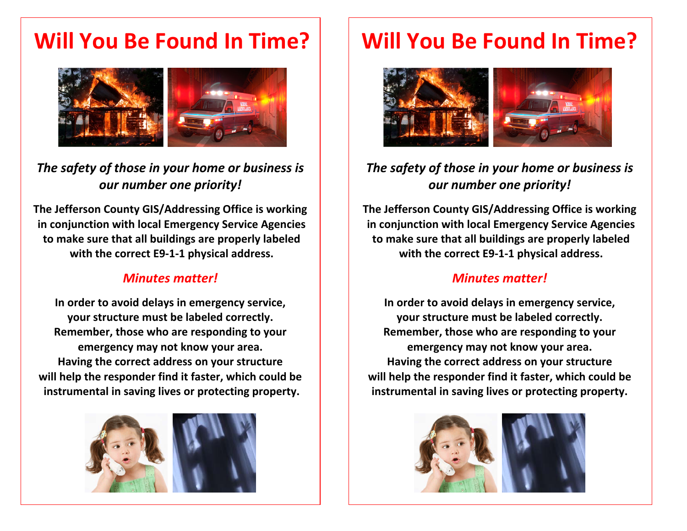# **Will You Be Found In Time?**



## *The safety of those in your home or business is our number one priority!*

**The Jefferson County GIS/Addressing Office is working in conjunction with local Emergency Service Agencies to make sure that all buildings are properly labeled with the correct E9‐1‐1 physical address.**

### *Minutes matter!*

**In order to avoid delays in emergency service, your structure must be labeled correctly. Remember, those who are responding to your emergency may not know your area. Having the correct address on your structure will help the responder find it faster, which could be instrumental in saving lives or protecting property.**



# **Will You Be Found In Time?**



## *The safety of those in your home or business is our number one priority!*

**The Jefferson County GIS/Addressing Office is working in conjunction with local Emergency Service Agencies to make sure that all buildings are properly labeled with the correct E9‐1‐1 physical address.**

#### *Minutes matter!*

**In order to avoid delays in emergency service, your structure must be labeled correctly. Remember, those who are responding to your emergency may not know your area. Having the correct address on your structure will help the responder find it faster, which could be instrumental in saving lives or protecting property.**